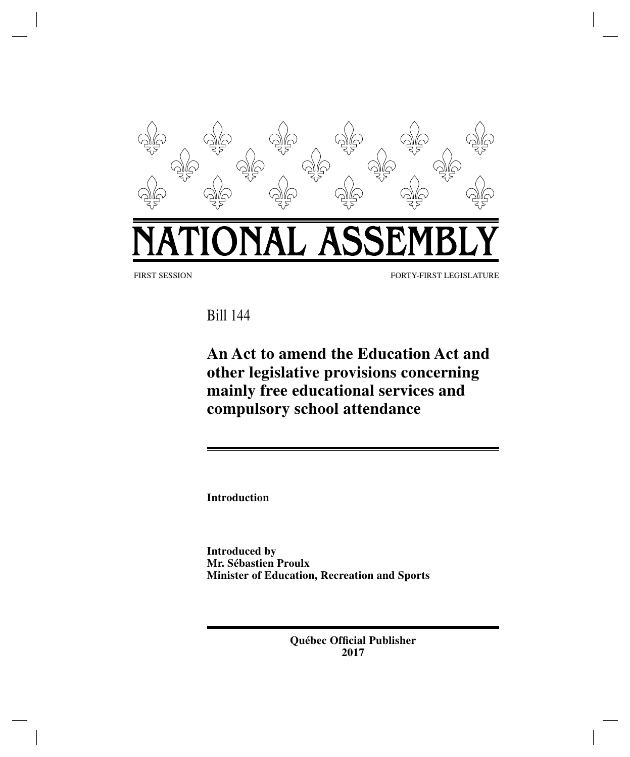

Bill 144

**An Act to amend the Education Act and other legislative provisions concerning mainly free educational services and compulsory school attendance**

**Introduction**

**Introduced by Mr. Sébastien Proulx Minister of Education, Recreation and Sports**

> **Québec Official Publisher 2017**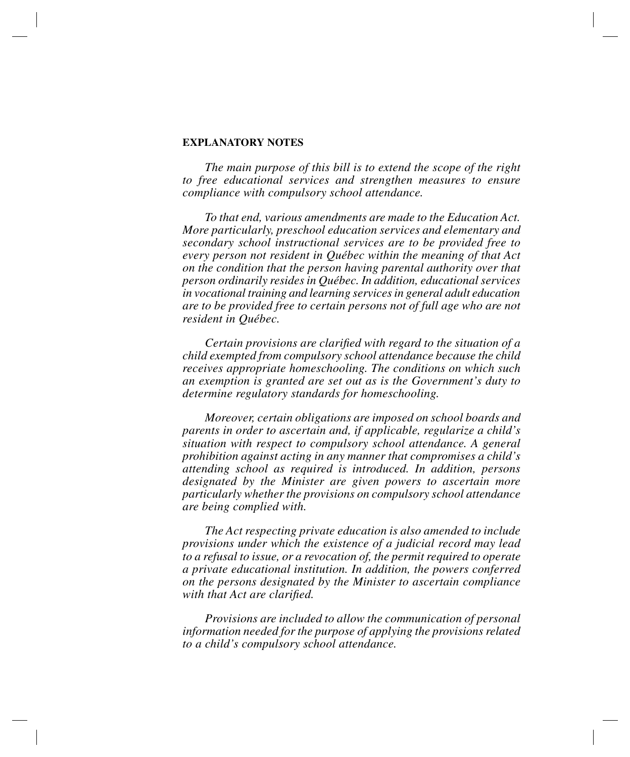#### **EXPLANATORY NOTES**

*The main purpose of this bill is to extend the scope of the right to free educational services and strengthen measures to ensure compliance with compulsory school attendance.*

*To that end, various amendments are made to the Education Act. More particularly, preschool education services and elementary and secondary school instructional services are to be provided free to every person not resident in Québec within the meaning of that Act on the condition that the person having parental authority over that person ordinarily resides in Québec. In addition, educational services in vocational training and learning services in general adult education are to be provided free to certain persons not of full age who are not resident in Québec.*

*Certain provisions are clarified with regard to the situation of a child exempted from compulsory school attendance because the child receives appropriate homeschooling. The conditions on which such an exemption is granted are set out as is the Government's duty to determine regulatory standards for homeschooling.*

*Moreover, certain obligations are imposed on school boards and parents in order to ascertain and, if applicable, regularize a child's situation with respect to compulsory school attendance. A general prohibition against acting in any manner that compromises a child's attending school as required is introduced. In addition, persons designated by the Minister are given powers to ascertain more particularly whether the provisions on compulsory school attendance are being complied with.*

*The Act respecting private education is also amended to include provisions under which the existence of a judicial record may lead to a refusal to issue, or a revocation of, the permit required to operate a private educational institution. In addition, the powers conferred on the persons designated by the Minister to ascertain compliance with that Act are clarified.*

*Provisions are included to allow the communication of personal information needed for the purpose of applying the provisions related to a child's compulsory school attendance.*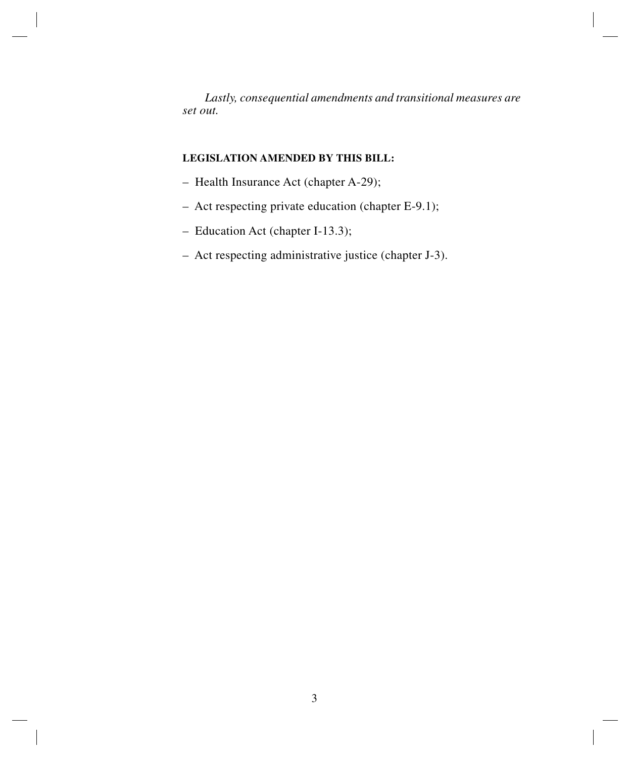*Lastly, consequential amendments and transitional measures are set out.*

# **LEGISLATION AMENDED BY THIS BILL:**

- Health Insurance Act (chapter A-29);
- Act respecting private education (chapter E-9.1);
- Education Act (chapter I-13.3);
- Act respecting administrative justice (chapter J-3).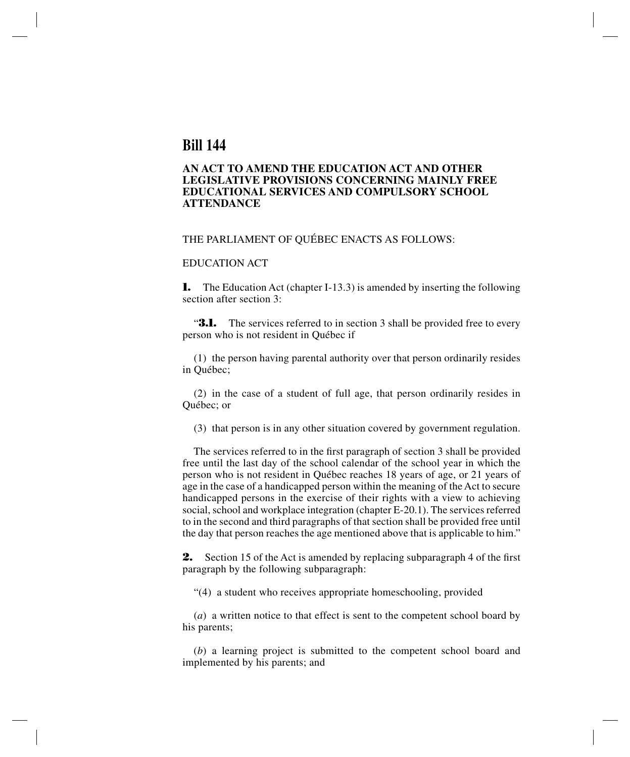# **Bill 144**

## **AN ACT TO AMEND THE EDUCATION ACT AND OTHER LEGISLATIVE PROVISIONS CONCERNING MAINLY FREE EDUCATIONAL SERVICES AND COMPULSORY SCHOOL ATTENDANCE**

#### THE PARLIAMENT OF QUÉBEC ENACTS AS FOLLOWS:

## EDUCATION ACT

**1.** The Education Act (chapter I-13.3) is amended by inserting the following section after section 3:

**3.1.** The services referred to in section 3 shall be provided free to every person who is not resident in Québec if

(1) the person having parental authority over that person ordinarily resides in Québec;

(2) in the case of a student of full age, that person ordinarily resides in Québec; or

(3) that person is in any other situation covered by government regulation.

The services referred to in the first paragraph of section 3 shall be provided free until the last day of the school calendar of the school year in which the person who is not resident in Québec reaches 18 years of age, or 21 years of age in the case of a handicapped person within the meaning of the Act to secure handicapped persons in the exercise of their rights with a view to achieving social, school and workplace integration (chapter E-20.1). The services referred to in the second and third paragraphs of that section shall be provided free until the day that person reaches the age mentioned above that is applicable to him."

**2.** Section 15 of the Act is amended by replacing subparagraph 4 of the first paragraph by the following subparagraph:

"(4) a student who receives appropriate homeschooling, provided

(*a*) a written notice to that effect is sent to the competent school board by his parents;

(*b*) a learning project is submitted to the competent school board and implemented by his parents; and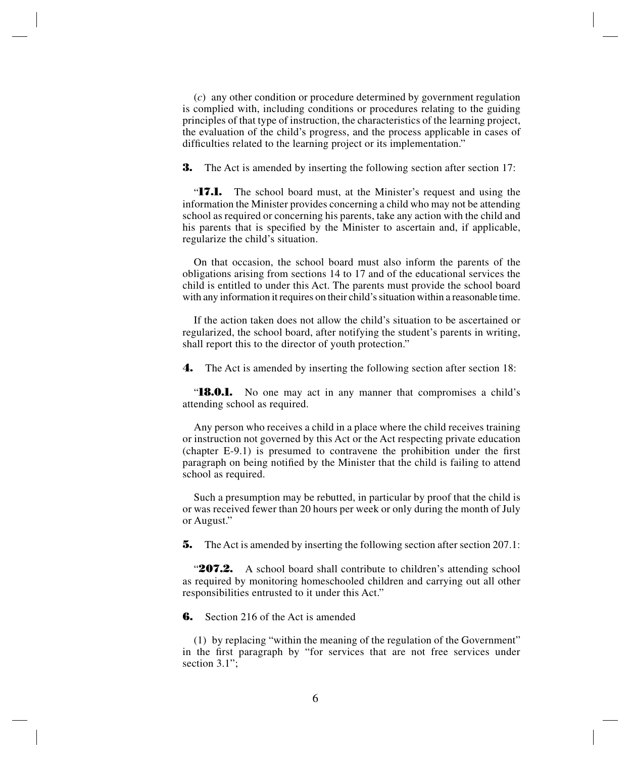(*c*) any other condition or procedure determined by government regulation is complied with, including conditions or procedures relating to the guiding principles of that type of instruction, the characteristics of the learning project, the evaluation of the child's progress, and the process applicable in cases of difficulties related to the learning project or its implementation."

**3.** The Act is amended by inserting the following section after section 17:

"**17.1.** The school board must, at the Minister's request and using the information the Minister provides concerning a child who may not be attending school as required or concerning his parents, take any action with the child and his parents that is specified by the Minister to ascertain and, if applicable, regularize the child's situation.

On that occasion, the school board must also inform the parents of the obligations arising from sections 14 to 17 and of the educational services the child is entitled to under this Act. The parents must provide the school board with any information it requires on their child's situation within a reasonable time.

If the action taken does not allow the child's situation to be ascertained or regularized, the school board, after notifying the student's parents in writing, shall report this to the director of youth protection."

**4.** The Act is amended by inserting the following section after section 18:

"**18.0.1.** No one may act in any manner that compromises a child's attending school as required.

Any person who receives a child in a place where the child receives training or instruction not governed by this Act or the Act respecting private education (chapter E-9.1) is presumed to contravene the prohibition under the first paragraph on being notified by the Minister that the child is failing to attend school as required.

Such a presumption may be rebutted, in particular by proof that the child is or was received fewer than 20 hours per week or only during the month of July or August."

**5.** The Act is amended by inserting the following section after section 207.1:

**207.2.** A school board shall contribute to children's attending school as required by monitoring homeschooled children and carrying out all other responsibilities entrusted to it under this Act."

**6.** Section 216 of the Act is amended

(1) by replacing "within the meaning of the regulation of the Government" in the first paragraph by "for services that are not free services under section 3.1";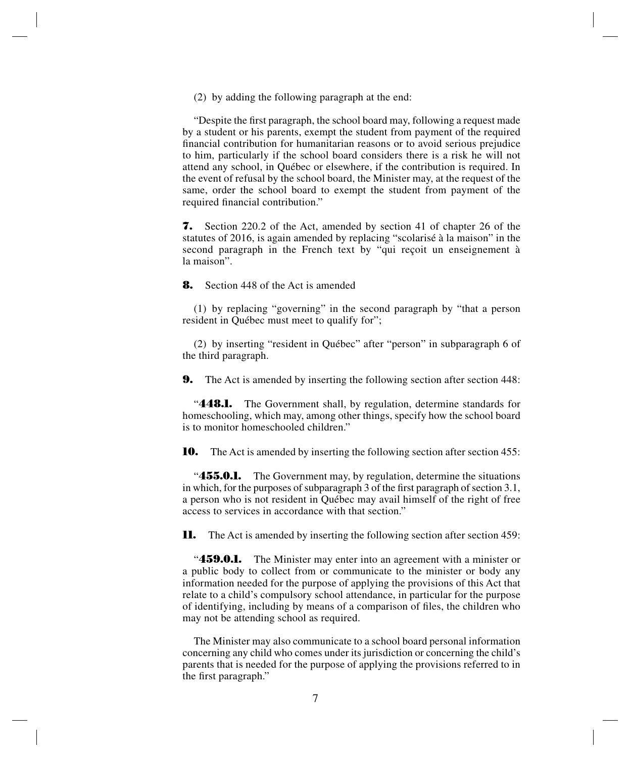(2) by adding the following paragraph at the end:

"Despite the first paragraph, the school board may, following a request made by a student or his parents, exempt the student from payment of the required financial contribution for humanitarian reasons or to avoid serious prejudice to him, particularly if the school board considers there is a risk he will not attend any school, in Québec or elsewhere, if the contribution is required. In the event of refusal by the school board, the Minister may, at the request of the same, order the school board to exempt the student from payment of the required financial contribution."

**7.** Section 220.2 of the Act, amended by section 41 of chapter 26 of the statutes of 2016, is again amended by replacing "scolarisé à la maison" in the second paragraph in the French text by "qui reçoit un enseignement à la maison".

**8.** Section 448 of the Act is amended

(1) by replacing "governing" in the second paragraph by "that a person resident in Québec must meet to qualify for";

(2) by inserting "resident in Québec" after "person" in subparagraph 6 of the third paragraph.

**9.** The Act is amended by inserting the following section after section 448:

"**448.1.** The Government shall, by regulation, determine standards for homeschooling, which may, among other things, specify how the school board is to monitor homeschooled children."

**10.** The Act is amended by inserting the following section after section 455:

**455.0.1.** The Government may, by regulation, determine the situations in which, for the purposes of subparagraph 3 of the first paragraph of section 3.1, a person who is not resident in Québec may avail himself of the right of free access to services in accordance with that section."

**11.** The Act is amended by inserting the following section after section 459:

"**459.0.1.** The Minister may enter into an agreement with a minister or a public body to collect from or communicate to the minister or body any information needed for the purpose of applying the provisions of this Act that relate to a child's compulsory school attendance, in particular for the purpose of identifying, including by means of a comparison of files, the children who may not be attending school as required.

The Minister may also communicate to a school board personal information concerning any child who comes under its jurisdiction or concerning the child's parents that is needed for the purpose of applying the provisions referred to in the first paragraph."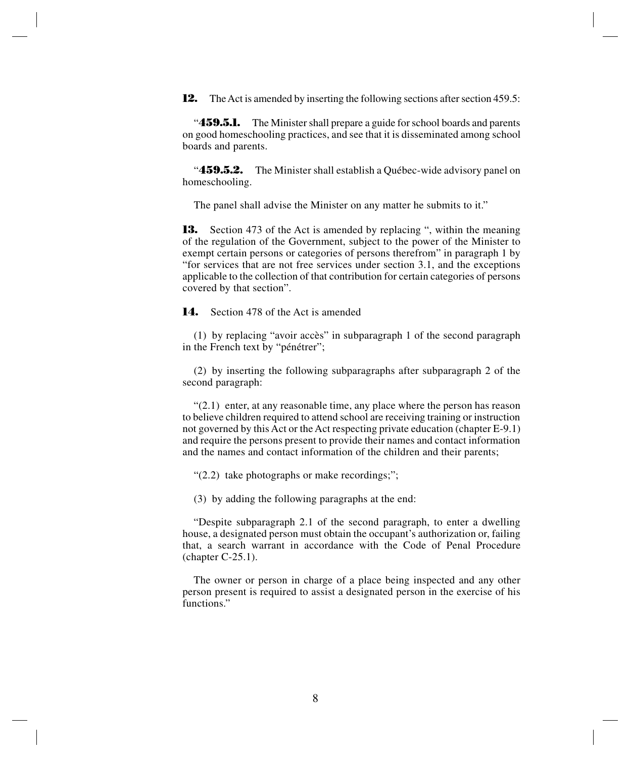**12.** The Act is amended by inserting the following sections after section 459.5:

"**459.5.1.** The Minister shall prepare a guide for school boards and parents on good homeschooling practices, and see that it is disseminated among school boards and parents.

"**459.5.2.** The Minister shall establish a Québec-wide advisory panel on homeschooling.

The panel shall advise the Minister on any matter he submits to it."

**13.** Section 473 of the Act is amended by replacing ", within the meaning of the regulation of the Government, subject to the power of the Minister to exempt certain persons or categories of persons therefrom" in paragraph 1 by "for services that are not free services under section 3.1, and the exceptions applicable to the collection of that contribution for certain categories of persons covered by that section".

**14.** Section 478 of the Act is amended

(1) by replacing "avoir accès" in subparagraph 1 of the second paragraph in the French text by "pénétrer";

(2) by inserting the following subparagraphs after subparagraph 2 of the second paragraph:

 $(2.1)$  enter, at any reasonable time, any place where the person has reason to believe children required to attend school are receiving training or instruction not governed by this Act or the Act respecting private education (chapter E-9.1) and require the persons present to provide their names and contact information and the names and contact information of the children and their parents;

"(2.2) take photographs or make recordings;";

(3) by adding the following paragraphs at the end:

"Despite subparagraph 2.1 of the second paragraph, to enter a dwelling house, a designated person must obtain the occupant's authorization or, failing that, a search warrant in accordance with the Code of Penal Procedure (chapter C-25.1).

The owner or person in charge of a place being inspected and any other person present is required to assist a designated person in the exercise of his functions."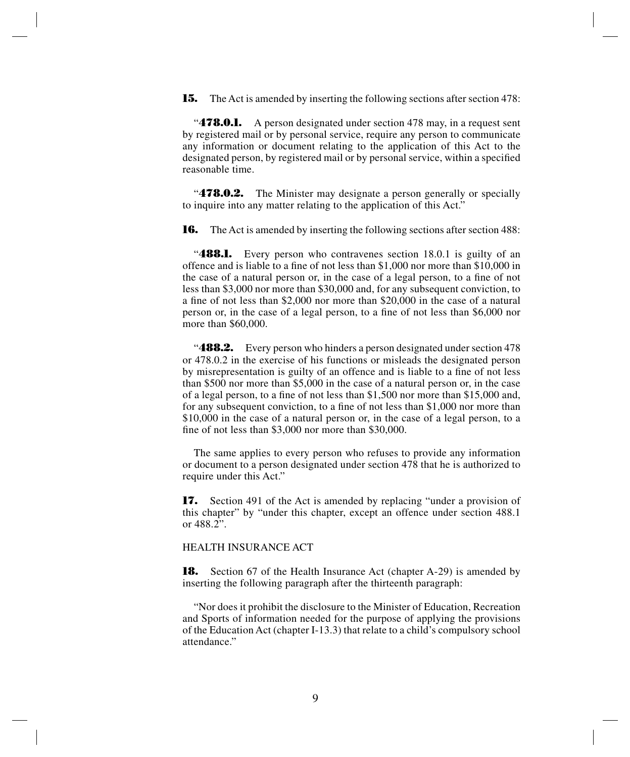**15.** The Act is amended by inserting the following sections after section 478:

**478.0.1.** A person designated under section 478 may, in a request sent by registered mail or by personal service, require any person to communicate any information or document relating to the application of this Act to the designated person, by registered mail or by personal service, within a specified reasonable time.

"**478.0.2.** The Minister may designate a person generally or specially to inquire into any matter relating to the application of this Act."

**16.** The Act is amended by inserting the following sections after section 488:

**488.1.** Every person who contravenes section 18.0.1 is guilty of an offence and is liable to a fine of not less than \$1,000 nor more than \$10,000 in the case of a natural person or, in the case of a legal person, to a fine of not less than \$3,000 nor more than \$30,000 and, for any subsequent conviction, to a fine of not less than \$2,000 nor more than \$20,000 in the case of a natural person or, in the case of a legal person, to a fine of not less than \$6,000 nor more than \$60,000.

**488.2.** Every person who hinders a person designated under section 478 or 478.0.2 in the exercise of his functions or misleads the designated person by misrepresentation is guilty of an offence and is liable to a fine of not less than \$500 nor more than \$5,000 in the case of a natural person or, in the case of a legal person, to a fine of not less than \$1,500 nor more than \$15,000 and, for any subsequent conviction, to a fine of not less than \$1,000 nor more than \$10,000 in the case of a natural person or, in the case of a legal person, to a fine of not less than \$3,000 nor more than \$30,000.

The same applies to every person who refuses to provide any information or document to a person designated under section 478 that he is authorized to require under this Act."

**17.** Section 491 of the Act is amended by replacing "under a provision of this chapter" by "under this chapter, except an offence under section 488.1 or 488.2".

#### HEALTH INSURANCE ACT

**18.** Section 67 of the Health Insurance Act (chapter A-29) is amended by inserting the following paragraph after the thirteenth paragraph:

"Nor does it prohibit the disclosure to the Minister of Education, Recreation and Sports of information needed for the purpose of applying the provisions of the Education Act (chapter I-13.3) that relate to a child's compulsory school attendance."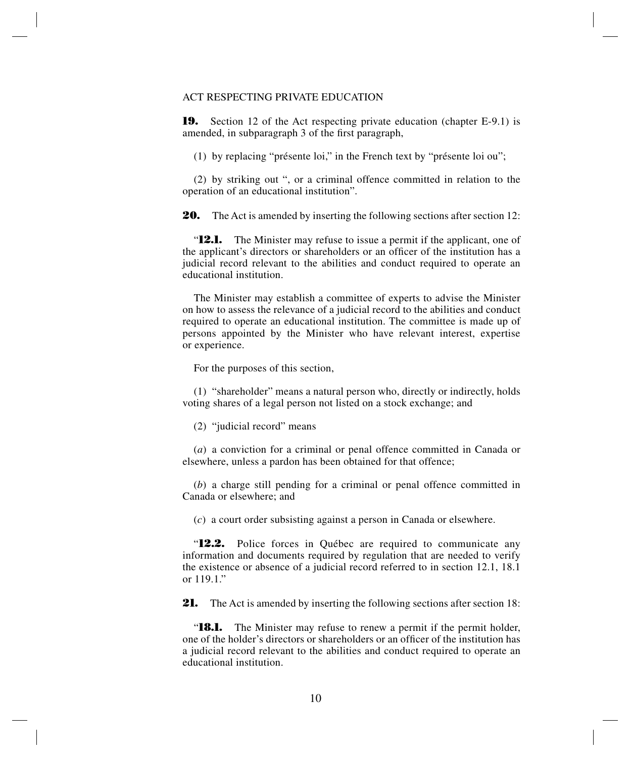#### ACT RESPECTING PRIVATE EDUCATION

**19.** Section 12 of the Act respecting private education (chapter E-9.1) is amended, in subparagraph 3 of the first paragraph,

(1) by replacing "présente loi," in the French text by "présente loi ou";

(2) by striking out ", or a criminal offence committed in relation to the operation of an educational institution".

**20.** The Act is amended by inserting the following sections after section 12:

"**12.1.** The Minister may refuse to issue a permit if the applicant, one of the applicant's directors or shareholders or an officer of the institution has a judicial record relevant to the abilities and conduct required to operate an educational institution.

The Minister may establish a committee of experts to advise the Minister on how to assess the relevance of a judicial record to the abilities and conduct required to operate an educational institution. The committee is made up of persons appointed by the Minister who have relevant interest, expertise or experience.

For the purposes of this section,

(1) "shareholder" means a natural person who, directly or indirectly, holds voting shares of a legal person not listed on a stock exchange; and

(2) "judicial record" means

(*a*) a conviction for a criminal or penal offence committed in Canada or elsewhere, unless a pardon has been obtained for that offence;

(*b*) a charge still pending for a criminal or penal offence committed in Canada or elsewhere; and

(*c*) a court order subsisting against a person in Canada or elsewhere.

"**12.2.** Police forces in Québec are required to communicate any information and documents required by regulation that are needed to verify the existence or absence of a judicial record referred to in section 12.1, 18.1 or 119.1."

**21.** The Act is amended by inserting the following sections after section 18:

"**18.1.** The Minister may refuse to renew a permit if the permit holder, one of the holder's directors or shareholders or an officer of the institution has a judicial record relevant to the abilities and conduct required to operate an educational institution.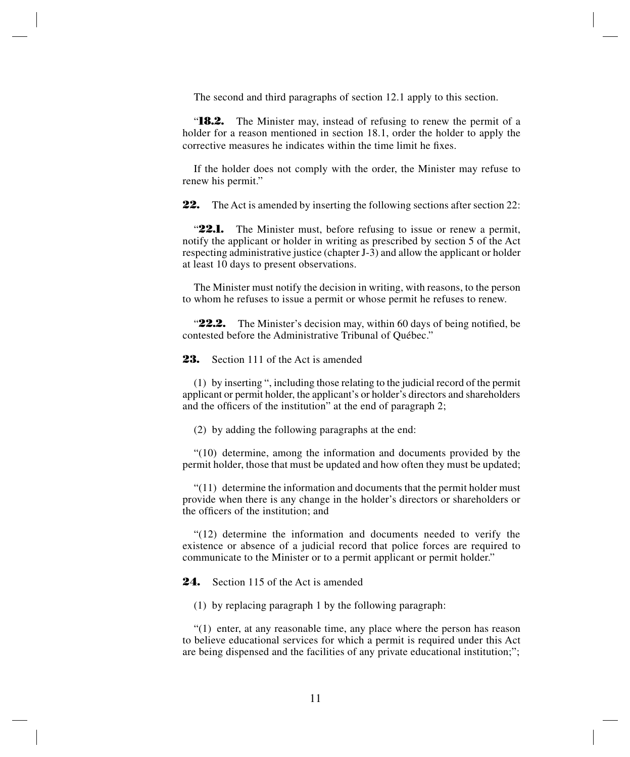The second and third paragraphs of section 12.1 apply to this section.

"**18.2.** The Minister may, instead of refusing to renew the permit of a holder for a reason mentioned in section 18.1, order the holder to apply the corrective measures he indicates within the time limit he fixes.

If the holder does not comply with the order, the Minister may refuse to renew his permit."

**22.** The Act is amended by inserting the following sections after section 22:

"**22.1.** The Minister must, before refusing to issue or renew a permit, notify the applicant or holder in writing as prescribed by section 5 of the Act respecting administrative justice (chapter J-3) and allow the applicant or holder at least 10 days to present observations.

The Minister must notify the decision in writing, with reasons, to the person to whom he refuses to issue a permit or whose permit he refuses to renew.

"22.2. The Minister's decision may, within 60 days of being notified, be contested before the Administrative Tribunal of Québec."

**23.** Section 111 of the Act is amended

(1) by inserting ", including those relating to the judicial record of the permit applicant or permit holder, the applicant's or holder's directors and shareholders and the officers of the institution" at the end of paragraph 2;

(2) by adding the following paragraphs at the end:

"(10) determine, among the information and documents provided by the permit holder, those that must be updated and how often they must be updated;

 $(11)$  determine the information and documents that the permit holder must provide when there is any change in the holder's directors or shareholders or the officers of the institution; and

"(12) determine the information and documents needed to verify the existence or absence of a judicial record that police forces are required to communicate to the Minister or to a permit applicant or permit holder."

**24.** Section 115 of the Act is amended

(1) by replacing paragraph 1 by the following paragraph:

"(1) enter, at any reasonable time, any place where the person has reason to believe educational services for which a permit is required under this Act are being dispensed and the facilities of any private educational institution;";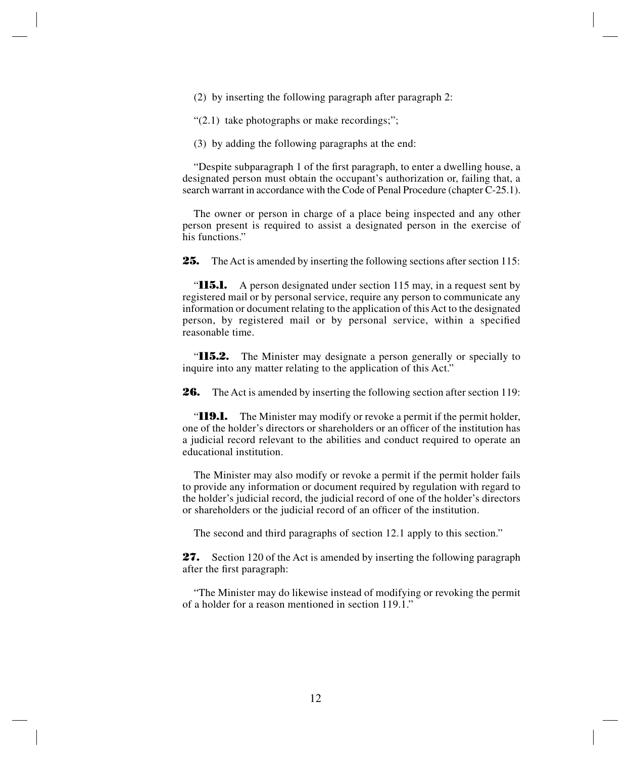(2) by inserting the following paragraph after paragraph 2:

" $(2.1)$  take photographs or make recordings;";

(3) by adding the following paragraphs at the end:

"Despite subparagraph 1 of the first paragraph, to enter a dwelling house, a designated person must obtain the occupant's authorization or, failing that, a search warrant in accordance with the Code of Penal Procedure (chapter C-25.1).

The owner or person in charge of a place being inspected and any other person present is required to assist a designated person in the exercise of his functions."

**25.** The Act is amended by inserting the following sections after section 115:

**115.1.** A person designated under section 115 may, in a request sent by registered mail or by personal service, require any person to communicate any information or document relating to the application of this Act to the designated person, by registered mail or by personal service, within a specified reasonable time.

"**115.2.** The Minister may designate a person generally or specially to inquire into any matter relating to the application of this Act."

**26.** The Act is amended by inserting the following section after section 119:

"**119.1.** The Minister may modify or revoke a permit if the permit holder, one of the holder's directors or shareholders or an officer of the institution has a judicial record relevant to the abilities and conduct required to operate an educational institution.

The Minister may also modify or revoke a permit if the permit holder fails to provide any information or document required by regulation with regard to the holder's judicial record, the judicial record of one of the holder's directors or shareholders or the judicial record of an officer of the institution.

The second and third paragraphs of section 12.1 apply to this section."

**27.** Section 120 of the Act is amended by inserting the following paragraph after the first paragraph:

"The Minister may do likewise instead of modifying or revoking the permit of a holder for a reason mentioned in section 119.1."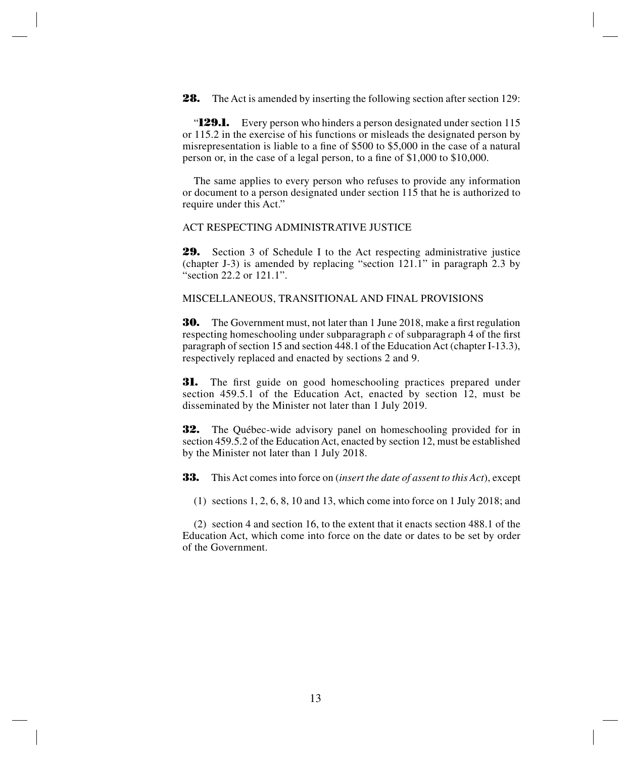**28.** The Act is amended by inserting the following section after section 129:

"**129.1.** Every person who hinders a person designated under section 115 or 115.2 in the exercise of his functions or misleads the designated person by misrepresentation is liable to a fine of \$500 to \$5,000 in the case of a natural person or, in the case of a legal person, to a fine of \$1,000 to \$10,000.

The same applies to every person who refuses to provide any information or document to a person designated under section 115 that he is authorized to require under this Act."

ACT RESPECTING ADMINISTRATIVE JUSTICE

**29.** Section 3 of Schedule I to the Act respecting administrative justice (chapter J-3) is amended by replacing "section 121.1" in paragraph 2.3 by "section 22.2 or 121.1".

MISCELLANEOUS, TRANSITIONAL AND FINAL PROVISIONS

**30.** The Government must, not later than 1 June 2018, make a first regulation respecting homeschooling under subparagraph *c* of subparagraph 4 of the first paragraph of section 15 and section 448.1 of the Education Act (chapter I-13.3), respectively replaced and enacted by sections 2 and 9.

**31.** The first guide on good homeschooling practices prepared under section 459.5.1 of the Education Act, enacted by section 12, must be disseminated by the Minister not later than 1 July 2019.

**32.** The Québec-wide advisory panel on homeschooling provided for in section 459.5.2 of the Education Act, enacted by section 12, must be established by the Minister not later than 1 July 2018.

**33.** This Act comes into force on (*insert the date of assent to this Act*), except

(1) sections 1, 2, 6, 8, 10 and 13, which come into force on 1 July 2018; and

(2) section 4 and section 16, to the extent that it enacts section 488.1 of the Education Act, which come into force on the date or dates to be set by order of the Government.